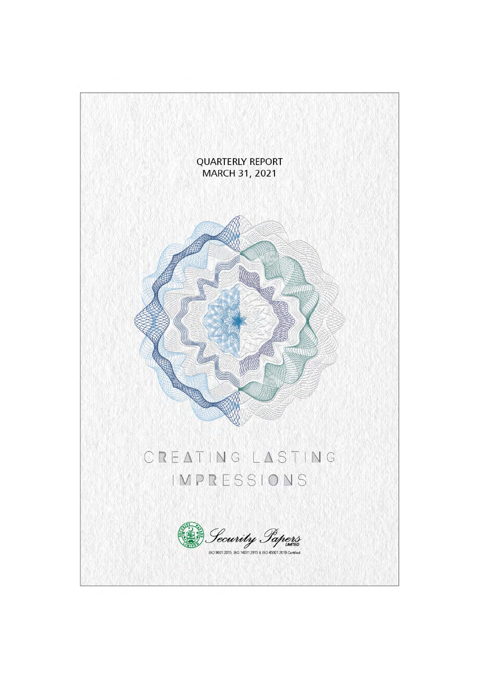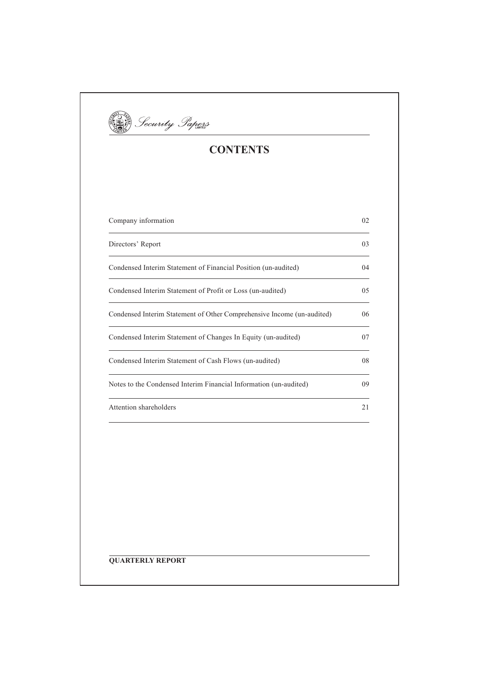

# **CONTENTS**

| Company information                                                    | 02             |
|------------------------------------------------------------------------|----------------|
| Directors' Report                                                      | 0 <sup>3</sup> |
| Condensed Interim Statement of Financial Position (un-audited)         | 04             |
| Condensed Interim Statement of Profit or Loss (un-audited)             | 05             |
| Condensed Interim Statement of Other Comprehensive Income (un-audited) | 06             |
| Condensed Interim Statement of Changes In Equity (un-audited)          | 07             |
| Condensed Interim Statement of Cash Flows (un-audited)                 | 08             |
| Notes to the Condensed Interim Financial Information (un-audited)      | 09             |
| Attention shareholders                                                 | 2.1            |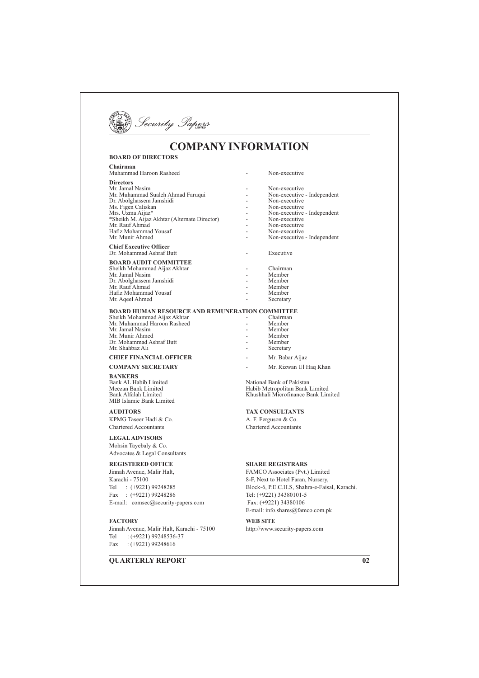

# **COMPANY INFORMATION**

#### **BOARD OF DIRECTORS Chairman** 2% 3 % .4 Directors Mr. Jamal Nasim .4 & Mr. Muhammad Sualeh Ahmad Faruqui Dr. Abolghassem Jamshidi Ms. Figen Cali 8 .4 & & 25 9: 0 ;:< .4 <% 8% 25 0 ;: 08%
 0

rector) - Non-executive Mr. Rauf Ahmad Non-executive Hafiz Mohammad Yousaf **1988** - **1988** - **1988** - **1988** - **1988** &  0% .4 & Mr. Munir Ahmed **Chief Executive Officer** <u>Dr. Mohammad Ashraf Butt</u> Executive **BOARD AUDIT COMMITTEE** Sheikh Mohammad Aijaz Akhtar **1988** - C hairman Mr Jamal Nasim - Member Dr. Abolghassem Jamshidi Member<br>Member 25 0% 27 Hafiz Mohammad Yousaf **2008** - 27 Member Mr. Ageel Ahmed Secretary

#### **BOARD HUMAN RESOURCE AND REMUNERATION COMMITTEE**

% 8% 2% 0 ;: 08%
 -25 2% 3 % 27 Mr. Jamal Nasim Mr. Munir Ahmed Dr. Mohammad Ashraf Butt **Mr.** Shahbaz Ali

#### **CHIEF FINANCIAL OFFICER**

**COMPANY SECRETARY** THE PAINT OF THE ME RI **BANKERS** Bank AL Habib Limi

Meezan Bank Limi Bank Alfalah Limi MIB Islamic Bank Limited

**AUDITORS** KPMG Taseer Hadi & C Chartered Accountants C

### LEGAL ADVISORS

Mohsin Tayebaly & Co. Advocates & Legal Consultants

### **REGISTERED OFFICE**

Jinnah Avenue, Mali Karachi - 75100 Tel :  $(+9221)$  99248285 Fax :  $(+9221)$  99248286 Tel:  $(+9221)$  34380101-5 E-mail: comsec@securi

### **FACTORY**

Jinnah Avenue, Malir Halt, Karachi Tel  $:(+9221)$  99248536-37 Fax  $:(+9221) 99248616$ 

## **QUARTERLY REPORT**

hairman - Member Member<br>Member Secretary 2. The Solution of the Mr. Babar Aijaz

Non-executive

- Non-executive

- Non-executive - Independent

Mr. Rizwan Ul Haq Khan

ted National Bank of Pakistan 37 7 2
 >8 " ?%%% 2  >8 "

#### **TAX CONSULTANTS**

 $A. F.$  Ferguson & Co. Chartered Accountants

#### **SHARE REGISTRARS**

r Halt, FAMCO Associates (Pvt.) Limited 8-F, Next to Hotel Faran, Nursery, .H.S, Shahra-e-Faisal, Karachi.  $Fax· (+9221)34380106$ E-mail: info.shares@famco.com.pk

> **WEB SITE** - 75100 http://www.security-papers.com

> > $\overline{02}$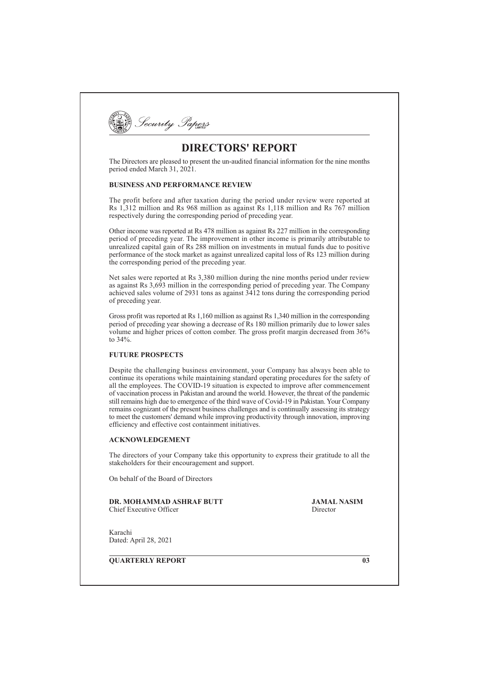

# **DIRECTORS' REPORT**

The Directors are pleased to present the un-audited financial information for the nine months period ended March 31, 2021.

## **BUSINESS AND PERFORMANCE REVIEW**

The profit before and after taxation during the period under review were reported at Rs 1,312 million and Rs 968 million as against Rs 1,118 million and Rs 767 million respectively during the corresponding period of preceding year.

Other income was reported at Rs 478 million as against Rs 227 million in the corresponding period of preceding year. The improvement in other income is primarily attributable to unrealized capital gain of Rs 288 million on investments in mutual funds due to positive performance of the stock market as against unrealized capital loss of Rs 123 million during the corresponding period of the preceding year.

Net sales were reported at Rs 3,380 million during the nine months period under review as against Rs  $3,693$  million in the corresponding period of preceding year. The Company achieved sales volume of 2931 tons as against  $3412$  tons during the corresponding period of preceding year.

Gross profit was reported at Rs 1,160 million as against Rs 1,340 million in the corresponding period of preceding year showing a decrease of Rs 180 million primarily due to lower sales volume and higher prices of cotton comber. The gross profit margin decreased from 36% to 34%.

## **FUTURE PROSPECTS**

Despite the challenging business environment, your Company has always been able to continue its operations while maintaining standard operating procedures for the safety of all the employees. The COVID-19 situation is expected to improve after commencement of vaccination process in Pakistan and around the world. However, the threat of the pandemic still remains high due to emergence of the third wave of Covid-19 in Pakistan. Your Company remains cognizant of the present business challenges and is continually assessing its strategy to meet the customers' demand while improving productivity through innovation, improving efficiency and effective cost containment initiatives.

### **ACKNOWLEDGEMENT**

The directors of your Company take this opportunity to express their gratitude to all the stakeholders for their encouragement and support.

On behalf of the Board of Directors

**DR. MOHAMMAD ASHRAF BUTT** Chief Executive Officer

**JAMAL NASIM** Director

Karachi Dated: April 28, 2021

**OUARTERLY REPORT** 

 $\overline{03}$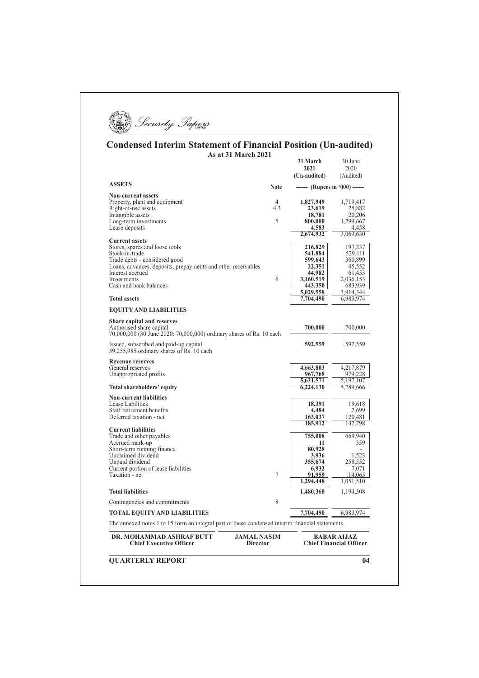**By** Security Sapers

## **Condensed Interim Statement of Financial Position (Un-audited)** As at 31 March 2021 21 March  $30 \text{ J}$

| <b>ASSETS</b><br><b>Non-current assets</b>                                                                                                                                                                                                                                    | <b>Note</b><br>4<br>4.3<br>5 | (Un-audited)<br>------ (Rupees in '000) ------<br>1,827,949<br>23,619<br>18,781<br>800,000<br>4,583<br>2,674,932 | (Audited)<br>1,719,417<br>25,882<br>20,206<br>1,299,667 |
|-------------------------------------------------------------------------------------------------------------------------------------------------------------------------------------------------------------------------------------------------------------------------------|------------------------------|------------------------------------------------------------------------------------------------------------------|---------------------------------------------------------|
|                                                                                                                                                                                                                                                                               |                              |                                                                                                                  |                                                         |
| Property, plant and equipment<br>Right-of-use assets                                                                                                                                                                                                                          |                              |                                                                                                                  |                                                         |
| Intangible assets<br>Long-term investments<br>Lease deposits<br><b>Current assets</b><br>Stores, spares and loose tools<br>Stock-in-trade<br>Trade debts - considered good<br>Loans, advances, deposits, prepayments and other receivables<br>Interest accrued<br>Investments |                              |                                                                                                                  |                                                         |
|                                                                                                                                                                                                                                                                               |                              |                                                                                                                  |                                                         |
|                                                                                                                                                                                                                                                                               |                              |                                                                                                                  |                                                         |
|                                                                                                                                                                                                                                                                               |                              |                                                                                                                  |                                                         |
|                                                                                                                                                                                                                                                                               |                              |                                                                                                                  | 4,458<br>3,069,630                                      |
|                                                                                                                                                                                                                                                                               |                              |                                                                                                                  |                                                         |
|                                                                                                                                                                                                                                                                               |                              | 216,829                                                                                                          | 197,237                                                 |
|                                                                                                                                                                                                                                                                               |                              | 541,884                                                                                                          | 529,111                                                 |
|                                                                                                                                                                                                                                                                               |                              | 599,643                                                                                                          | 360,899                                                 |
|                                                                                                                                                                                                                                                                               |                              | 22,351                                                                                                           | 45,552                                                  |
|                                                                                                                                                                                                                                                                               |                              | 44,982                                                                                                           | 61,453                                                  |
| Cash and bank balances                                                                                                                                                                                                                                                        | 6                            | 3,160,519                                                                                                        | 2,036,153                                               |
|                                                                                                                                                                                                                                                                               |                              | 443,350<br>5,029,558                                                                                             | 683,939<br>3,914,344                                    |
| <b>Total assets</b>                                                                                                                                                                                                                                                           |                              | 7,704,490                                                                                                        | 6,983,974                                               |
| <b>EQUITY AND LIABILITIES</b>                                                                                                                                                                                                                                                 |                              |                                                                                                                  |                                                         |
| Share capital and reserves                                                                                                                                                                                                                                                    |                              |                                                                                                                  |                                                         |
| Authorised share capital                                                                                                                                                                                                                                                      |                              | 700,000                                                                                                          | 700,000                                                 |
| 70,000,000 (30 June 2020: 70,000,000) ordinary shares of Rs. 10 each                                                                                                                                                                                                          |                              |                                                                                                                  |                                                         |
| Issued, subscribed and paid-up capital                                                                                                                                                                                                                                        |                              | 592,559                                                                                                          | 592,559                                                 |
| 59,255,985 ordinary shares of Rs. 10 each                                                                                                                                                                                                                                     |                              |                                                                                                                  |                                                         |
| <b>Revenue reserves</b>                                                                                                                                                                                                                                                       |                              |                                                                                                                  |                                                         |
| General reserves                                                                                                                                                                                                                                                              |                              | 4,663,803                                                                                                        | 4,217,879                                               |
| Unappropriated profits                                                                                                                                                                                                                                                        |                              | 967,768                                                                                                          | 979,228                                                 |
|                                                                                                                                                                                                                                                                               |                              | 5,631,571                                                                                                        | 5,197,107                                               |
| <b>Total shareholders' equity</b>                                                                                                                                                                                                                                             |                              | 6,224,130                                                                                                        | 5,789,666                                               |
| <b>Non-current liabilities</b>                                                                                                                                                                                                                                                |                              |                                                                                                                  |                                                         |
| Lease Labilities                                                                                                                                                                                                                                                              |                              | 18,391                                                                                                           | 19,618                                                  |
| Staff retirement benefits<br>Deferred taxation - net                                                                                                                                                                                                                          |                              | 4,484                                                                                                            | 2,699                                                   |
|                                                                                                                                                                                                                                                                               |                              | 163,037<br>185,912                                                                                               | 120,481<br>142,798                                      |
| <b>Current liabilities</b>                                                                                                                                                                                                                                                    |                              |                                                                                                                  |                                                         |
| Trade and other payables                                                                                                                                                                                                                                                      |                              | 755,008                                                                                                          | 669,940                                                 |
| Accrued mark-up                                                                                                                                                                                                                                                               |                              | 11                                                                                                               | 359                                                     |
| Short-term running finance                                                                                                                                                                                                                                                    |                              | 80,928                                                                                                           | $\sim$                                                  |
| Unclaimed dividend                                                                                                                                                                                                                                                            |                              | 3,936                                                                                                            | 1,523                                                   |
| Unpaid dividend                                                                                                                                                                                                                                                               |                              | 355,674                                                                                                          | 258,552                                                 |
| Current portion of lease liabilities                                                                                                                                                                                                                                          |                              | 6,932                                                                                                            | 7,071                                                   |
| Taxation - net                                                                                                                                                                                                                                                                | $\overline{7}$               | 91,959                                                                                                           | 114,065                                                 |
|                                                                                                                                                                                                                                                                               |                              | 1,294,448                                                                                                        | 1,051,510                                               |
| <b>Total liabilities</b>                                                                                                                                                                                                                                                      |                              | 1,480,360                                                                                                        | 1,194,308                                               |
| Contingencies and commitments                                                                                                                                                                                                                                                 | 8                            |                                                                                                                  |                                                         |
| <b>TOTAL EQUITY AND LIABILITIES</b>                                                                                                                                                                                                                                           |                              | 7,704,490                                                                                                        | 6,983,974                                               |
| The annexed notes 1 to 15 form an integral part of these condensed interim financial statements.                                                                                                                                                                              |                              |                                                                                                                  |                                                         |
| DR. MOHAMMAD ASHRAF BUTT<br><b>JAMAL NASIM</b>                                                                                                                                                                                                                                |                              |                                                                                                                  | <b>BABAR AIJAZ</b>                                      |
| <b>Chief Executive Officer</b><br><b>Director</b>                                                                                                                                                                                                                             |                              |                                                                                                                  | <b>Chief Financial Officer</b>                          |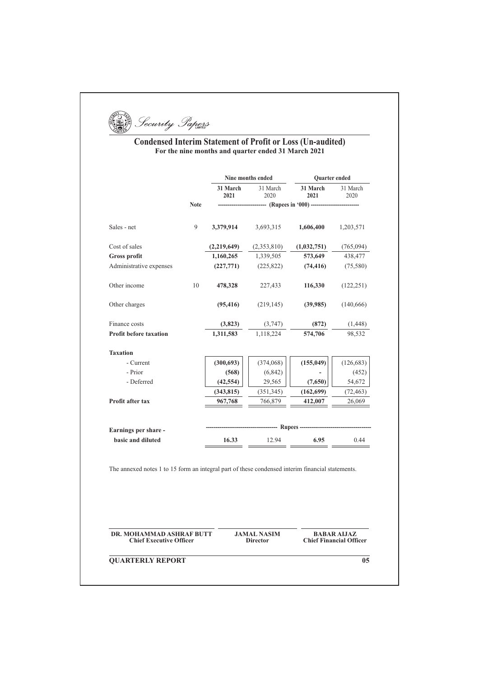Security Papers

# **Condensed Interim Statement of Profit or Loss (Un-audited)** For the nine months and quarter ended 31 March 2021

|                               |             |                  | Nine months ended | Quarter ended                                          |                  |
|-------------------------------|-------------|------------------|-------------------|--------------------------------------------------------|------------------|
|                               |             | 31 March<br>2021 | 31 March<br>2020  | 31 March<br>2021                                       | 31 March<br>2020 |
|                               | <b>Note</b> |                  |                   | ------------- (Rupees in '000) ----------------------- |                  |
| Sales - net                   | 9           | 3,379,914        | 3,693,315         | 1,606,400                                              | 1,203,571        |
| Cost of sales                 |             | (2,219,649)      | (2,353,810)       | (1,032,751)                                            | (765,094)        |
| <b>Gross profit</b>           |             | 1,160,265        | 1,339,505         | 573,649                                                | 438,477          |
| Administrative expenses       |             | (227,771)        | (225, 822)        | (74, 416)                                              | (75,580)         |
| Other income                  | 10          | 478,328          | 227,433           | 116,330                                                | (122, 251)       |
| Other charges                 |             | (95, 416)        | (219, 145)        | (39,985)                                               | (140, 666)       |
| Finance costs                 |             | (3,823)          | (3,747)           | (872)                                                  | (1, 448)         |
| <b>Profit before taxation</b> |             | 1,311,583        | 1,118,224         | 574,706                                                | 98,532           |
| <b>Taxation</b>               |             |                  |                   |                                                        |                  |
| - Current                     |             | (300, 693)       | (374,068)         | (155, 049)                                             | (126, 683)       |
| - Prior                       |             | (568)            | (6, 842)          |                                                        | (452)            |
| - Deferred                    |             | (42, 554)        | 29,565            | (7,650)                                                | 54,672           |
|                               |             | (343, 815)       | (351, 345)        | (162, 699)                                             | (72, 463)        |
| Profit after tax              |             | 967,768          | 766,879           | 412,007                                                | 26,069           |
|                               |             |                  |                   | ---------- Rupees -------------------------            |                  |
| Earnings per share -          |             |                  |                   |                                                        |                  |

DR. MOHAMMAD ASHRAF BUTT **Chief Executive Officer** 

**JAMAL NASIM Director** 

**BABAR AIJAZ**<br>Chief Financial Officer

**QUARTERLY REPORT** 

 $\overline{05}$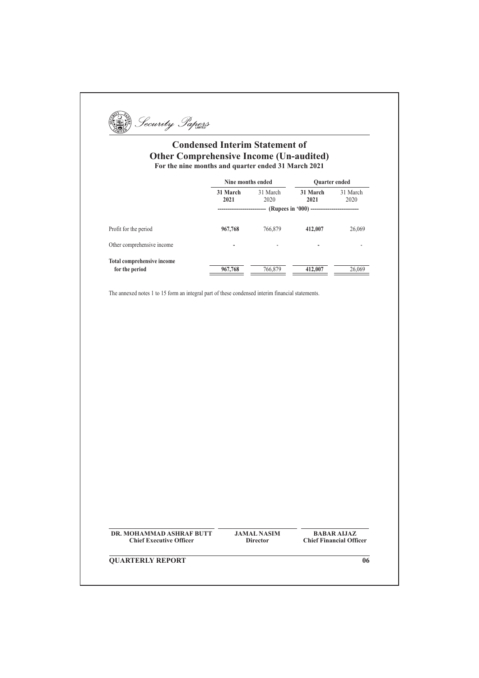[3] Security Papers

# **Condensed Interim Statement of Other Comprehensive Income (Un-audited)** For the nine months and quarter ended 31 March 2021

|                            | Nine months ended |                  |                  | <b>Ouarter ended</b> |
|----------------------------|-------------------|------------------|------------------|----------------------|
|                            | 31 March<br>2021  | 31 March<br>2020 | 31 March<br>2021 | 31 March<br>2020     |
|                            |                   |                  |                  |                      |
| Profit for the period      | 967,768           | 766,879          | 412,007          | 26,069               |
| Other comprehensive income | -                 | ۰                | -                |                      |
| Total comprehensive income |                   |                  |                  |                      |
| for the period             | 967,768           | 766,879          | 412,007          | 26,069               |

The annexed notes 1 to 15 form an integral part of these condensed interim financial statements.

DR. MOHAMMAD ASHRAF BUTT **Chief Executive Officer** 

**JAMAL NASIM Director** 

**BABAR ALJAZ**<br>Chief Financial Officer

**QUARTERLY REPORT** 

 $\overline{06}$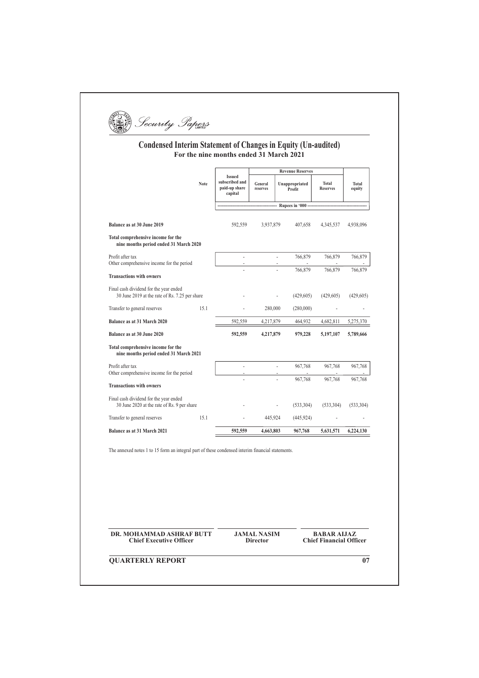(1)

# Condensed Interim Statement of Changes in Equity (Un-audited)<br>For the nine months ended 31 March 2021

|                                                                                          |             |                                                             |                     | <b>Revenue Reserves</b>                         |                          |                 |
|------------------------------------------------------------------------------------------|-------------|-------------------------------------------------------------|---------------------|-------------------------------------------------|--------------------------|-----------------|
|                                                                                          | <b>Note</b> | <b>Issued</b><br>subscribed and<br>paid-up share<br>capital | General<br>reserves | Unappropriated<br>Profit                        | Total<br><b>Reserves</b> | Total<br>equity |
|                                                                                          |             |                                                             |                     | --------- Rupees in '000 ---------------------- |                          |                 |
| Balance as at 30 June 2019                                                               |             | 592.559                                                     | 3,937,879           | 407.658                                         | 4,345,537                | 4,938,096       |
| Total comprehensive income for the<br>nine months period ended 31 March 2020             |             |                                                             |                     |                                                 |                          |                 |
| Profit after tax                                                                         |             | ä,                                                          |                     | 766,879<br>÷.                                   | 766,879                  | 766,879         |
| Other comprehensive income for the period                                                |             |                                                             |                     | 766,879                                         | 766,879                  | 766,879         |
| <b>Transactions with owners</b>                                                          |             |                                                             |                     |                                                 |                          |                 |
| Final cash dividend for the year ended<br>30 June 2019 at the rate of Rs. 7.25 per share |             |                                                             |                     | (429,605)                                       | (429,605)                | (429,605)       |
| Transfer to general reserves                                                             | 15.1        |                                                             | 280,000             | (280,000)                                       |                          |                 |
| Balance as at 31 March 2020                                                              |             | 592.559                                                     | 4,217,879           | 464.932                                         | 4.682.811                | 5,275,370       |
| Balance as at 30 June 2020                                                               |             | 592,559                                                     | 4,217,879           | 979,228                                         | 5,197,107                | 5,789,666       |
| Total comprehensive income for the<br>nine months period ended 31 March 2021             |             |                                                             |                     |                                                 |                          |                 |
| Profit after tax                                                                         |             |                                                             |                     | 967,768<br>÷.                                   | 967,768                  | 967,768         |
| Other comprehensive income for the period                                                |             |                                                             |                     | 967,768                                         | 967,768                  | 967,768         |
| <b>Transactions with owners</b>                                                          |             |                                                             |                     |                                                 |                          |                 |
| Final cash dividend for the year ended<br>30 June 2020 at the rate of Rs. 9 per share    |             |                                                             |                     | (533, 304)                                      | (533, 304)               | (533, 304)      |
| Transfer to general reserves                                                             | 15.1        |                                                             | 445,924             | (445, 924)                                      |                          |                 |
| Balance as at 31 March 2021                                                              |             | 592.559                                                     | 4,663,803           | 967,768                                         | 5,631,571                | 6,224,130       |

The annexed notes 1 to 15 form an integral part of these condensed interim financial statements.

DR. MOHAMMAD ASHRAF BUTT **Chief Executive Officer** 

**JAMAL NASIM Director** 

**BABAR AIJAZ Chief Financial Officer** 

**QUARTERLY REPORT** 

 $\overline{07}$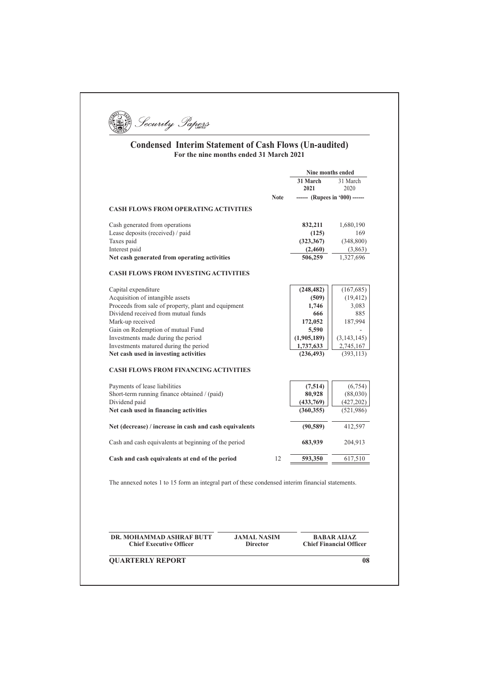

# **Condensed Interim Statement of Cash Flows (Un-audited)**<br>For the nine months ended 31 March 2021

| <b>Note</b>                                                                                         | 31 March<br>2021 | 31 March<br>2020                                     |
|-----------------------------------------------------------------------------------------------------|------------------|------------------------------------------------------|
| <b>CASH FLOWS FROM OPERATING ACTIVITIES</b>                                                         |                  |                                                      |
|                                                                                                     |                  | ------ (Rupees in '000) ------                       |
|                                                                                                     |                  |                                                      |
| Cash generated from operations                                                                      | 832,211          | 1,680,190                                            |
| Lease deposits (received) / paid                                                                    | (125)            | 169                                                  |
| Taxes paid                                                                                          | (323, 367)       | (348, 800)                                           |
| Interest paid                                                                                       | (2,460)          | (3,863)                                              |
| Net cash generated from operating activities                                                        | 506,259          | 1,327,696                                            |
| <b>CASH FLOWS FROM INVESTING ACTIVITIES</b>                                                         |                  |                                                      |
| Capital expenditure                                                                                 | (248, 482)       | (167, 685)                                           |
| Acquisition of intangible assets                                                                    | (509)            | (19, 412)                                            |
| Proceeds from sale of property, plant and equipment                                                 | 1,746            | 3,083                                                |
| Dividend received from mutual funds                                                                 | 666              | 885                                                  |
| Mark-up received                                                                                    | 172,052          | 187,994                                              |
| Gain on Redemption of mutual Fund                                                                   | 5,590            |                                                      |
| Investments made during the period                                                                  | (1,905,189)      | (3, 143, 145)                                        |
| Investments matured during the period                                                               | 1,737,633        | 2,745,167                                            |
| Net cash used in investing activities                                                               | (236, 493)       | (393, 113)                                           |
| <b>CASH FLOWS FROM FINANCING ACTIVITIES</b>                                                         |                  |                                                      |
| Payments of lease liabilities                                                                       | (7,514)          | (6,754)                                              |
| Short-term running finance obtained / (paid)                                                        | 80,928           | (88,030)                                             |
| Dividend paid                                                                                       | (433,769)        | (427, 202)                                           |
| Net cash used in financing activities                                                               | (360, 355)       | (521, 986)                                           |
| Net (decrease) / increase in cash and cash equivalents                                              | (90, 589)        | 412,597                                              |
| Cash and cash equivalents at beginning of the period                                                | 683,939          | 204,913                                              |
| 12<br>Cash and cash equivalents at end of the period                                                | 593,350          | 617,510                                              |
| The annexed notes 1 to 15 form an integral part of these condensed interim financial statements.    |                  |                                                      |
| DR. MOHAMMAD ASHRAF BUTT<br><b>JAMAL NASIM</b><br><b>Chief Executive Officer</b><br><b>Director</b> |                  | <b>BABAR AIJAZ</b><br><b>Chief Financial Officer</b> |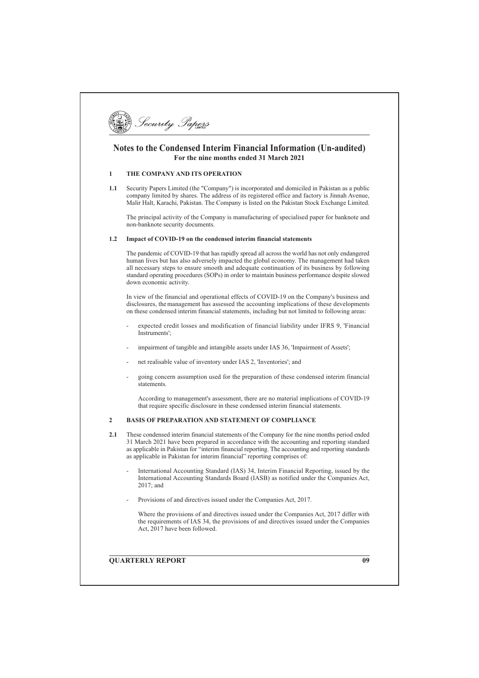

## Notes to the Condensed Interim Financial Information (Un-audited) For the nine months ended 31 March 2021

#### THE COMPANY AND ITS OPERATION  $\mathbf{1}$

 $1.1$ Security Papers Limited (the "Company") is incorporated and domiciled in Pakistan as a public company limited by shares. The address of its registered office and factory is Jinnah Avenue, Malir Halt, Karachi, Pakistan. The Company is listed on the Pakistan Stock Exchange Limited.

The principal activity of the Company is manufacturing of specialised paper for banknote and non-banknote security documents.

#### 1.2 Impact of COVID-19 on the condensed interim financial statements

The pandemic of COVID-19 that has rapidly spread all across the world has not only endangered human lives but has also adversely impacted the global economy. The management had taken all necessary steps to ensure smooth and adequate continuation of its business by following standard operating procedures (SOPs) in order to maintain business performance despite slowed down economic activity

In view of the financial and operational effects of COVID-19 on the Company's business and disclosures, the management has assessed the accounting implications of these developments on these condensed interim financial statements, including but not limited to following areas:

- expected credit losses and modification of financial liability under IFRS 9. 'Financial  $Instrumente'$
- impairment of tangible and intangible assets under IAS 36, 'Impairment of Assets';
- net realisable value of inventory under IAS 2. 'Inventories': and
- going concern assumption used for the preparation of these condensed interim financial statements

According to management's assessment, there are no material implications of COVID-19 that require specific disclosure in these condensed interim financial statements.

#### $\overline{2}$ **BASIS OF PREPARATION AND STATEMENT OF COMPLIANCE**

- $2.1$ These condensed interim financial statements of the Company for the nine months period ended 31 March 2021 have been prepared in accordance with the accounting and reporting standard as applicable in Pakistan for "interim financial reporting. The accounting and reporting standards as applicable in Pakistan for interim financial" reporting comprises of:
	- International Accounting Standard (IAS) 34, Interim Financial Reporting, issued by the International Accounting Standards Board (IASB) as notified under the Companies Act,  $2017$  and
	- Provisions of and directives issued under the Companies Act. 2017.

Where the provisions of and directives issued under the Companies Act, 2017 differ with the requirements of IAS 34, the provisions of and directives issued under the Companies Act, 2017 have been followed.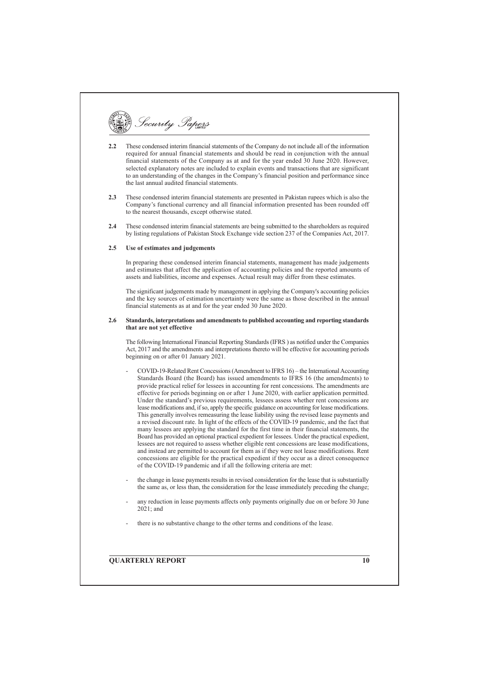Security Papers

- These condensed interim financial statements of the Company do not include all of the information  $2.2$ required for annual financial statements and should be read in conjunction with the annual financial statements of the Company as at and for the year ended 30 June 2020. However, selected explanatory notes are included to explain events and transactions that are significant to an understanding of the changes in the Company's financial position and performance since the last annual audited financial statements.
- $2.3$ These condensed interim financial statements are presented in Pakistan rupees which is also the Company's functional currency and all financial information presented has been rounded off to the nearest thousands, except otherwise stated.
- $2.4$ These condensed interim financial statements are being submitted to the shareholders as required by listing regulations of Pakistan Stock Exchange vide section 237 of the Companies Act, 2017.

#### $2.5$ Use of estimates and judgements

In preparing these condensed interim financial statements, management has made judgements and estimates that affect the application of accounting policies and the reported amounts of assets and liabilities, income and expenses. Actual result may differ from these estimates.

The significant judgements made by management in applying the Company's accounting policies and the key sources of estimation uncertainty were the same as those described in the annual financial statements as at and for the year ended 30 June 2020.

#### $2.6$ Standards, interpretations and amendments to published accounting and reporting standards that are not yet effective

The following International Financial Reporting Standards (IFRS) as notified under the Companies Act, 2017 and the amendments and interpretations thereto will be effective for accounting periods beginning on or after 01 January 2021.

- COVID-19-Related Rent Concessions (Amendment to IFRS 16) the International Accounting Standards Board (the Board) has issued amendments to IFRS 16 (the amendments) to provide practical relief for lessees in accounting for rent concessions. The amendments are effective for periods beginning on or after 1 June 2020, with earlier application permitted. Under the standard's previous requirements, lessees assess whether rent concessions are lease modifications and, if so, apply the specific guidance on accounting for lease modifications. This generally involves remeasuring the lease liability using the revised lease payments and a revised discount rate. In light of the effects of the COVID-19 pandemic, and the fact that many lessees are applying the standard for the first time in their financial statements, the Board has provided an optional practical expedient for lessees. Under the practical expedient, lessees are not required to assess whether eligible rent concessions are lease modifications, and instead are permitted to account for them as if they were not lease modifications. Rent concessions are eligible for the practical expedient if they occur as a direct consequence of the COVID-19 pandemic and if all the following criteria are met:
- the change in lease payments results in revised consideration for the lease that is substantially the same as, or less than, the consideration for the lease immediately preceding the change:
- any reduction in lease payments affects only payments originally due on or before 30 June  $2021$  and
- there is no substantive change to the other terms and conditions of the lease.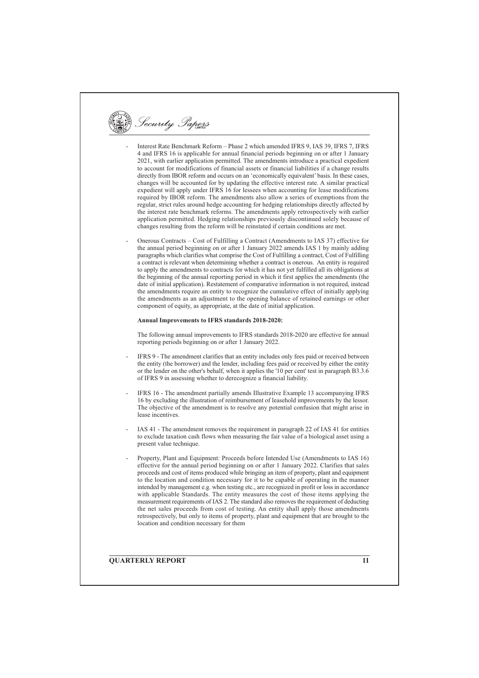Security Papers

- Interest Rate Benchmark Reform Phase 2 which amended IFRS 9, IAS 39, IFRS 7, IFRS 4 and IFRS 16 is applicable for annual financial periods beginning on or after 1 January 2021, with earlier application permitted. The amendments introduce a practical expedient to account for modifications of financial assets or financial liabilities if a change results directly from IBOR reform and occurs on an 'economically equivalent' basis. In these cases, changes will be accounted for by updating the effective interest rate. A similar practical expedient will apply under IFRS 16 for lessees when accounting for lease modifications required by IBOR reform. The amendments also allow a series of exemptions from the regular, strict rules around hedge accounting for hedging relationships directly affected by the interest rate benchmark reforms. The amendments apply retrospectively with earlier application permitted. Hedging relationships previously discontinued solely because of changes resulting from the reform will be reinstated if certain conditions are met.
- Onerous Contracts Cost of Fulfilling a Contract (Amendments to IAS 37) effective for the annual period beginning on or after 1 January 2022 amends IAS 1 by mainly adding paragraphs which clarifies what comprise the Cost of Fulfilling a contract, Cost of Fulfilling a contract is relevant when determining whether a contract is onerous. An entity is required to apply the amendments to contracts for which it has not yet fulfilled all its obligations at the beginning of the annual reporting period in which it first applies the amendments (the date of initial application). Restatement of comparative information is not required, instead the amendments require an entity to recognize the cumulative effect of initially applying the amendments as an adjustment to the opening balance of retained earnings or other component of equity, as appropriate, at the date of initial application.

#### Annual Improvements to IFRS standards 2018-2020:

The following annual improvements to IFRS standards 2018-2020 are effective for annual reporting periods beginning on or after 1 January 2022.

- IFRS 9 The amendment clarifies that an entity includes only fees paid or received between the entity (the borrower) and the lender, including fees paid or received by either the entity or the lender on the other's behalf, when it applies the '10 per cent' test in paragraph B3.3.6 of IFRS 9 in assessing whether to derecognize a financial liability.
- IFRS 16 The amendment partially amends Illustrative Example 13 accompanying IFRS 16 by excluding the illustration of reimbursement of leasehold improvements by the lessor. The objective of the amendment is to resolve any potential confusion that might arise in lease incentives
- IAS 41 The amendment removes the requirement in paragraph 22 of IAS 41 for entities to exclude taxation cash flows when measuring the fair value of a biological asset using a present value technique.
- Property, Plant and Equipment: Proceeds before Intended Use (Amendments to IAS 16) effective for the annual period beginning on or after 1 January 2022. Clarifies that sales proceeds and cost of items produced while bringing an item of property, plant and equipment to the location and condition necessary for it to be capable of operating in the manner intended by management e.g. when testing etc., are recognized in profit or loss in accordance with applicable Standards. The entity measures the cost of those items applying the measurement requirements of IAS 2. The standard also removes the requirement of deducting the net sales proceeds from cost of testing. An entity shall apply those amendments retrospectively, but only to items of property, plant and equipment that are brought to the location and condition necessary for them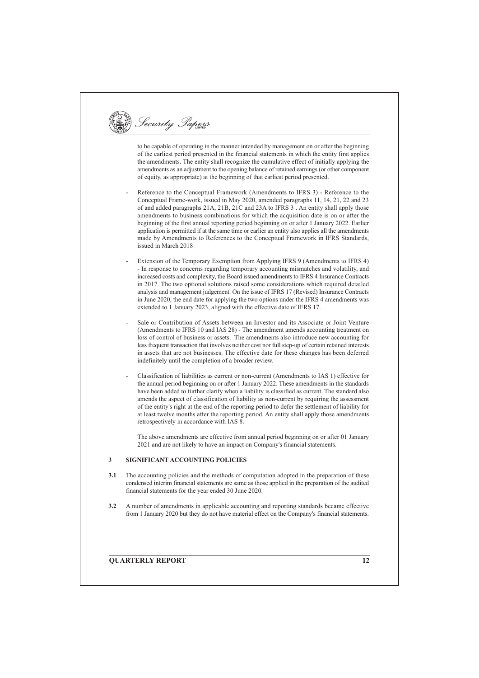Security Papers

to be capable of operating in the manner intended by management on or after the beginning of the earliest period presented in the financial statements in which the entity first applies the amendments. The entity shall recognize the cumulative effect of initially applying the amendments as an adjustment to the opening balance of retained earnings (or other component of equity, as appropriate) at the beginning of that earliest period presented.

- Reference to the Conceptual Framework (Amendments to IFRS 3) Reference to the Conceptual Frame-work, issued in May 2020, amended paragraphs 11, 14, 21, 22 and 23 of and added paragraphs 21A, 21B, 21C and 23A to IFRS 3. An entity shall apply those amendments to business combinations for which the acquisition date is on or after the beginning of the first annual reporting period beginning on or after 1 January 2022. Earlier application is permitted if at the same time or earlier an entity also applies all the amendments made by Amendments to References to the Conceptual Framework in IFRS Standards, issued in March 2018
- Extension of the Temporary Exemption from Applying IFRS 9 (Amendments to IFRS 4) - In response to concerns regarding temporary accounting mismatches and volatility, and increased costs and complexity, the Board issued amendments to IFRS 4 Insurance Contracts in 2017. The two optional solutions raised some considerations which required detailed analysis and management judgement. On the issue of IFRS 17 (Revised) Insurance Contracts in June 2020, the end date for applying the two options under the IFRS 4 amendments was extended to 1 January 2023, aligned with the effective date of IFRS 17.
- Sale or Contribution of Assets between an Investor and its Associate or Joint Venture (Amendments to IFRS 10 and IAS 28) - The amendment amends accounting treatment on loss of control of business or assets. The amendments also introduce new accounting for less frequent transaction that involves neither cost nor full step-up of certain retained interests in assets that are not businesses. The effective date for these changes has been deferred indefinitely until the completion of a broader review.
- Classification of liabilities as current or non-current (Amendments to IAS 1) effective for the annual period beginning on or after 1 January 2022. These amendments in the standards have been added to further clarify when a liability is classified as current. The standard also amends the aspect of classification of liability as non-current by requiring the assessment of the entity's right at the end of the reporting period to defer the settlement of liability for at least twelve months after the reporting period. An entity shall apply those amendments retrospectively in accordance with IAS 8.

The above amendments are effective from annual period beginning on or after 01 January 2021 and are not likely to have an impact on Company's financial statements.

#### SIGNIFICANT ACCOUNTING POLICIES  $\mathbf{3}$

- The accounting policies and the methods of computation adopted in the preparation of these  $3.1$ condensed interim financial statements are same as those applied in the preparation of the audited financial statements for the year ended 30 June 2020.
- $3.2$ A number of amendments in applicable accounting and reporting standards became effective from 1 January 2020 but they do not have material effect on the Company's financial statements.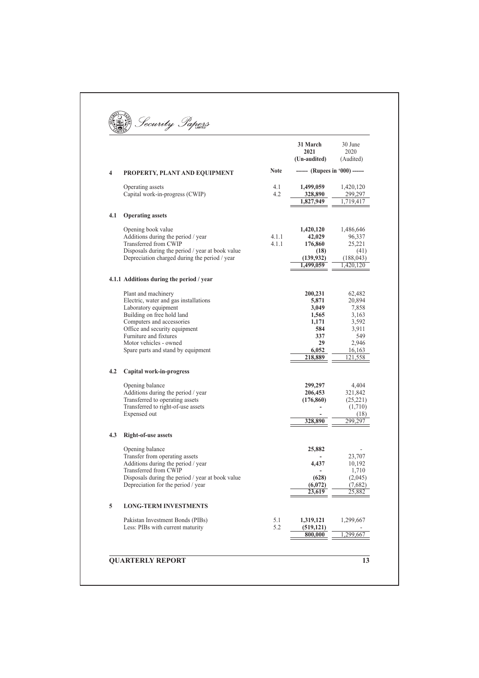|                         |                                                                           |             | 31 March<br>2021<br>(Un-audited) | 30 June<br>2020<br>(Audited) |
|-------------------------|---------------------------------------------------------------------------|-------------|----------------------------------|------------------------------|
| $\overline{\mathbf{4}}$ | PROPERTY, PLANT AND EQUIPMENT                                             | <b>Note</b> | ------ (Rupees in '000) ------   |                              |
|                         | Operating assets                                                          | 4.1         | 1,499,059                        | 1,420,120                    |
|                         | Capital work-in-progress (CWIP)                                           | 4.2         | 328,890                          | 299,297                      |
|                         |                                                                           |             | 1,827,949                        | 1,719,417                    |
| 4.1                     | <b>Operating assets</b>                                                   |             |                                  |                              |
|                         | Opening book value                                                        |             | 1,420,120                        | 1,486,646                    |
|                         | Additions during the period / year                                        | 4.1.1       | 42,029                           | 96,337                       |
|                         | Transferred from CWIP<br>Disposals during the period / year at book value | 4.1.1       | 176,860<br>(18)                  | 25,221<br>(41)               |
|                         | Depreciation charged during the period / year                             |             | (139, 932)                       | (188, 043)                   |
|                         |                                                                           |             | 1,499,059                        | 1,420,120                    |
|                         | 4.1.1 Additions during the period / year                                  |             |                                  |                              |
|                         | Plant and machinery                                                       |             | 200,231                          | 62,482                       |
|                         | Electric, water and gas installations                                     |             | 5,871                            | 20,894                       |
|                         | Laboratory equipment                                                      |             | 3,049                            | 7,858                        |
|                         | Building on free hold land<br>Computers and accessories                   |             | 1,565<br>1,171                   | 3,163<br>3,592               |
|                         | Office and security equipment                                             |             | 584                              | 3.911                        |
|                         | Furniture and fixtures                                                    |             | 337                              | 549                          |
|                         | Motor vehicles - owned                                                    |             | 29                               | 2,946                        |
|                         | Spare parts and stand by equipment                                        |             | 6,052                            | 16,163                       |
|                         |                                                                           |             | 218,889                          | 121,558                      |
| 4.2                     | Capital work-in-progress                                                  |             |                                  |                              |
|                         | Opening balance                                                           |             | 299,297                          | 4,404                        |
|                         | Additions during the period / year                                        |             | 206,453                          | 321,842                      |
|                         | Transferred to operating assets                                           |             | (176, 860)                       | (25, 221)                    |
|                         | Transferred to right-of-use assets<br>Expensed out                        |             |                                  | (1,710)<br>(18)              |
|                         |                                                                           |             | 328,890                          | 299,297                      |
| 4.3                     | <b>Right-of-use assets</b>                                                |             |                                  |                              |
|                         | Opening balance                                                           |             | 25,882                           |                              |
|                         | Transfer from operating assets                                            |             |                                  | 23,707                       |
|                         | Additions during the period / year                                        |             | 4,437                            | 10,192                       |
|                         | Transferred from CWIP<br>Disposals during the period / year at book value |             | (628)                            | 1,710<br>(2,045)             |
|                         | Depreciation for the period / year                                        |             | (6,072)                          | (7,682)                      |
|                         |                                                                           |             | 23,619                           | 25,882                       |
| 5                       | <b>LONG-TERM INVESTMENTS</b>                                              |             |                                  |                              |
|                         | Pakistan Investment Bonds (PIBs)                                          | 5.1         | 1,319,121                        | 1,299,667                    |
|                         | Less: PIBs with current maturity                                          | 5.2         | (519, 121)<br>800,000            | 1.299.667                    |
|                         |                                                                           |             |                                  |                              |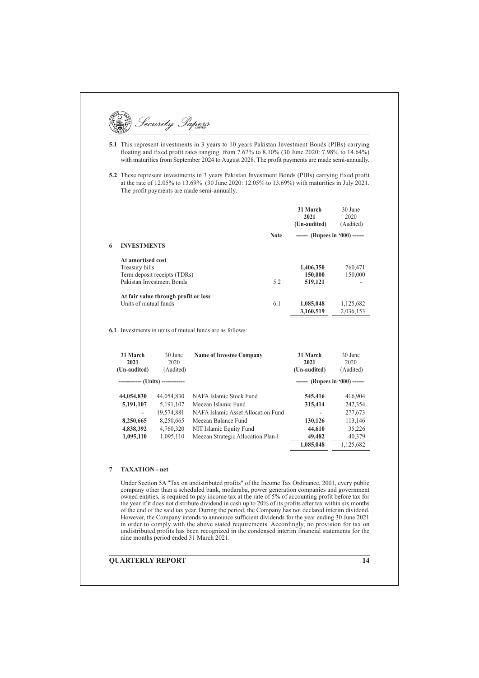|   |                                     |                                                           | <b>5.2</b> These represent investments in 3 years Pakistan Investment Bonds (PIBs) carrying fixed profit<br>at the rate of 12.05% to 13.69% (30 June 2020: 12.05% to 13.69%) with maturities in July 2021.<br>The profit payments are made semi-annually. |                                  |                              |
|---|-------------------------------------|-----------------------------------------------------------|-----------------------------------------------------------------------------------------------------------------------------------------------------------------------------------------------------------------------------------------------------------|----------------------------------|------------------------------|
|   |                                     |                                                           |                                                                                                                                                                                                                                                           |                                  |                              |
|   |                                     |                                                           |                                                                                                                                                                                                                                                           | 31 March<br>2021<br>(Un-audited) | 30 June<br>2020<br>(Audited) |
|   |                                     |                                                           | <b>Note</b>                                                                                                                                                                                                                                               | ------ (Rupees in '000) ------   |                              |
| 6 | <b>INVESTMENTS</b>                  |                                                           |                                                                                                                                                                                                                                                           |                                  |                              |
|   | At amortised cost<br>Treasury bills | Term deposit receipts (TDRs)<br>Pakistan Investment Bonds | 5.2                                                                                                                                                                                                                                                       | 1,406,350<br>150,000<br>519,121  | 760,471<br>150,000           |
|   | Units of mutual funds               | At fair value through profit or loss                      | 6.1                                                                                                                                                                                                                                                       | 1,085,048<br>3,160,519           | 1,125,682<br>2.036.153       |
|   |                                     |                                                           |                                                                                                                                                                                                                                                           |                                  |                              |
|   | 31 March                            | 30 June                                                   | 6.1 Investments in units of mutual funds are as follows:<br><b>Name of Investee Company</b>                                                                                                                                                               | 31 March                         | 30 June                      |
|   | 2021                                | 2020                                                      |                                                                                                                                                                                                                                                           | 2021                             | 2020                         |
|   | (Un-audited)                        | (Audited)                                                 |                                                                                                                                                                                                                                                           | (Un-audited)                     | (Audited)                    |
|   |                                     | ----------- (Units) ------------                          |                                                                                                                                                                                                                                                           | ------ (Rupees in '000) ------   |                              |
|   | 44,054,830                          | 44,054,830                                                | NAFA Islamic Stock Fund                                                                                                                                                                                                                                   | 545,416                          | 416,904                      |
|   | 5,191,107                           | 5,191,107                                                 | Meezan Islamic Fund                                                                                                                                                                                                                                       | 315,414                          | 242,354                      |
|   |                                     | 19,574,881                                                | NAFA Islamic Asset Allocation Fund                                                                                                                                                                                                                        |                                  | 277,673                      |
|   | 8,250,665                           | 8,250,665                                                 | Meezan Balance Fund                                                                                                                                                                                                                                       | 130,126                          | 113,146                      |
|   | 4,838,392                           | 4,760,320                                                 | NIT Islamic Equity Fund                                                                                                                                                                                                                                   | 44,610                           | 35,226                       |
|   |                                     |                                                           |                                                                                                                                                                                                                                                           |                                  |                              |
|   |                                     |                                                           |                                                                                                                                                                                                                                                           |                                  |                              |
|   | 1,095,110                           | 1,095,110                                                 | Meezan Strategic Allocation Plan-I                                                                                                                                                                                                                        | 49,482                           | 40,379                       |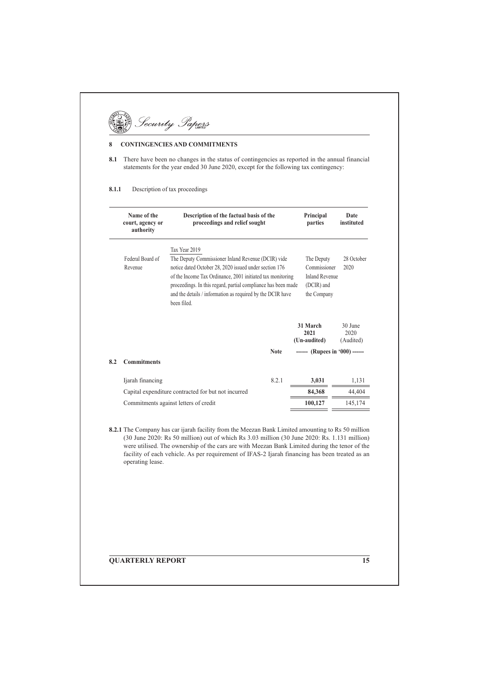# Security Papers

#### $\bf{8}$ **CONTINGENCIES AND COMMITMENTS**

8.1 There have been no changes in the status of contingencies as reported in the annual financial statements for the year ended 30 June 2020, except for the following tax contingency:

#### $8.1.1$ Description of tax proceedings

|     | Name of the<br>court, agency or<br>authority | Description of the factual basis of the<br>proceedings and relief sought                                                                                                                                                                                           |             | Principal<br>parties                                               | Date<br>instituted           |
|-----|----------------------------------------------|--------------------------------------------------------------------------------------------------------------------------------------------------------------------------------------------------------------------------------------------------------------------|-------------|--------------------------------------------------------------------|------------------------------|
|     | Federal Board of                             | Tax Year 2019<br>The Deputy Commissioner Inland Revenue (DCIR) vide                                                                                                                                                                                                |             | The Deputy                                                         | 28 October                   |
|     | Revenue                                      | notice dated October 28, 2020 issued under section 176<br>of the Income Tax Ordinance, 2001 initiated tax monitoring<br>proceedings. In this regard, partial compliance has been made<br>and the details / information as required by the DCIR have<br>been filed. |             | Commissioner<br><b>Inland Revenue</b><br>(DCIR) and<br>the Company | 2020                         |
|     |                                              |                                                                                                                                                                                                                                                                    |             | 31 March<br>2021<br>(Un-audited)                                   | 30 June<br>2020<br>(Audited) |
| 8.2 | <b>Commitments</b>                           |                                                                                                                                                                                                                                                                    | <b>Note</b> | ------ (Rupees in '000) ------                                     |                              |
|     | Ijarah financing                             |                                                                                                                                                                                                                                                                    | 8.2.1       | 3,031                                                              | 1,131                        |
|     |                                              | Capital expenditure contracted for but not incurred                                                                                                                                                                                                                |             | 84,368                                                             | 44,404                       |
|     |                                              | Commitments against letters of credit                                                                                                                                                                                                                              |             | 100,127                                                            | 145,174                      |

8.2.1 The Company has car ijarah facility from the Meezan Bank Limited amounting to Rs 50 million (30 June 2020: Rs 50 million) out of which Rs 3.03 million (30 June 2020: Rs. 1.131 million) were utilised. The ownership of the cars are with Meezan Bank Limited during the tenor of the facility of each vehicle. As per requirement of IFAS-2 Ijarah financing has been treated as an operating lease.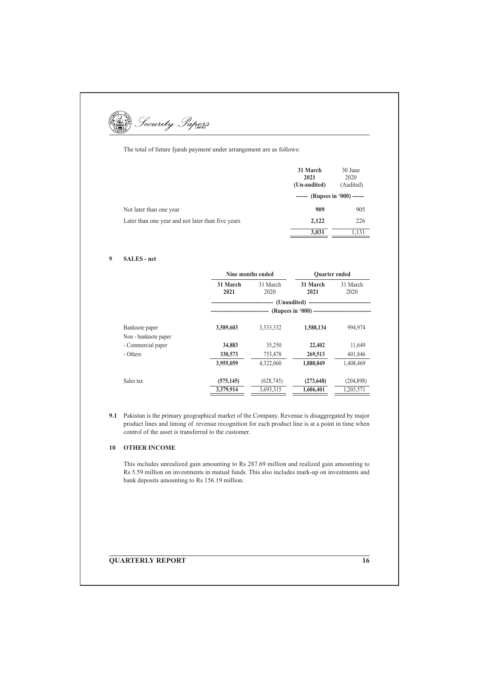The total of future Ijarah payment under arrangement are as follows:

|                                                   | 31 March<br>2021<br>(Un-audited) | 30 June<br>2020<br>(Audited) |
|---------------------------------------------------|----------------------------------|------------------------------|
|                                                   | ------ (Rupees in '000) ------   |                              |
| Not later than one year                           | 909                              | 905                          |
| Later than one year and not later than five years | 2,122                            | 226                          |
|                                                   | 3,031                            | 1,131                        |

#### $\mathbf{9}$ **SALES** - net

|                      |                  | Nine months ended                                                       | <b>Ouarter</b> ended |                  |
|----------------------|------------------|-------------------------------------------------------------------------|----------------------|------------------|
|                      | 31 March<br>2021 | 31 March<br>2020                                                        | 31 March<br>2021     | 31 March<br>2020 |
|                      |                  | --------------------------------(Unaudited)---------------------------- |                      |                  |
|                      |                  |                                                                         |                      |                  |
| Banknote paper       | 3,589,603        | 3,533,332                                                               | 1,588,134            | 994,974          |
| Non - banknote paper |                  |                                                                         |                      |                  |
| - Commercial paper   | 34,883           | 35,250                                                                  | 22,402               | 11,649           |
| - Others             | 330,573          | 753,478                                                                 | 269,513              | 401,846          |
|                      | 3,955,059        | 4,322,060                                                               | 1,880,049            | 1,408,469        |
| Sales tax            | (575, 145)       | (628, 745)                                                              | (273, 648)           | (204, 898)       |
|                      | 3,379,914        | 3,693,315                                                               | 1,606,401            | 1,203,571        |

9.1 Pakistan is the primary geographical market of the Company. Revenue is disaggregated by major product lines and timing of revenue recognition for each product line is at a point in time when control of the asset is transferred to the customer.

## 10 OTHER INCOME

This includes unrealized gain amounting to Rs 287.69 million and realized gain amounting to Rs 5.59 million on investments in mutual funds. This also includes mark-up on investments and bank deposits amounting to Rs 156.19 million.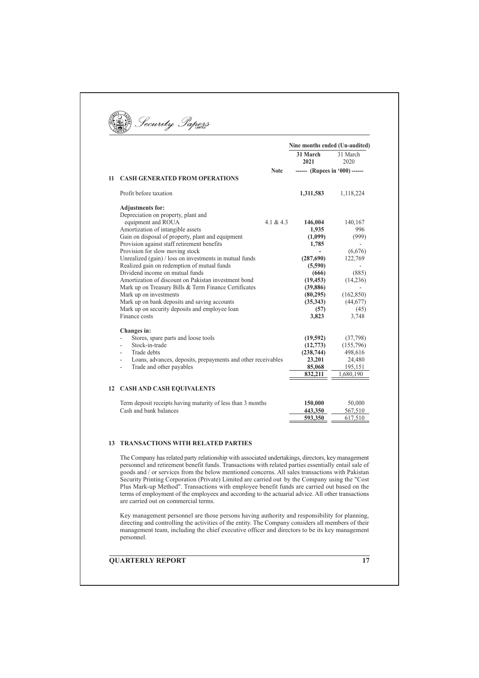|    |                                                                        |             | Nine months ended (Un-audited) |                   |
|----|------------------------------------------------------------------------|-------------|--------------------------------|-------------------|
|    |                                                                        |             | 31 March<br>2021               | 31 March<br>2020  |
|    |                                                                        | <b>Note</b> | ------ (Rupees in '000) ------ |                   |
| 11 | <b>CASH GENERATED FROM OPERATIONS</b>                                  |             |                                |                   |
|    | Profit before taxation                                                 |             | 1,311,583                      | 1,118,224         |
|    | <b>Adjustments for:</b>                                                |             |                                |                   |
|    | Depreciation on property, plant and                                    |             |                                |                   |
|    | equipment and ROUA                                                     | 4.1 & 4.3   | 146,004                        | 140,167           |
|    | Amortization of intangible assets                                      |             | 1,935                          | 996               |
|    | Gain on disposal of property, plant and equipment                      |             | (1,099)                        | (999)             |
|    | Provision against staff retirement benefits                            |             | 1,785                          |                   |
|    | Provision for slow moving stock                                        |             |                                | (6,676)           |
|    | Unrealized (gain) / loss on investments in mutual funds                |             | (287, 690)                     | 122,769           |
|    | Realized gain on redemption of mutual funds                            |             | (5,590)                        |                   |
|    | Dividend income on mutual funds                                        |             | (666)                          | (885)             |
|    | Amortization of discount on Pakistan investment bond                   |             | (19, 453)                      | (14,236)          |
|    | Mark up on Treasury Bills & Term Finance Certificates                  |             | (39, 886)                      |                   |
|    | Mark up on investments<br>Mark up on bank deposits and saving accounts |             | (80,295)                       | (162, 850)        |
|    | Mark up on security deposits and employee loan                         |             | (35,343)<br>(57)               | (44, 677)<br>(45) |
|    | Finance costs                                                          |             | 3,823                          | 3,748             |
|    |                                                                        |             |                                |                   |
|    | Changes in:                                                            |             |                                |                   |
|    | Stores, spare parts and loose tools                                    |             | (19,592)                       | (37,798)          |
|    | Stock-in-trade                                                         |             | (12,773)                       | (155,796)         |
|    | Trade debts<br>L,                                                      |             | (238, 744)                     | 498,616           |
|    | Loans, advances, deposits, prepayments and other receivables           |             | 23,201                         | 24,480            |
|    | Trade and other payables<br>$\overline{a}$                             |             | 85,068                         | 195,151           |
|    |                                                                        |             | 832,211                        | 1,680,190         |
|    | 12 CASH AND CASH EQUIVALENTS                                           |             |                                |                   |
|    | Term deposit receipts having maturity of less than 3 months            |             | 150,000                        | 50,000            |
|    | Cash and bank balances                                                 |             | 443,350                        | 567,510           |
|    |                                                                        |             | 593,350                        | 617.510           |

Key management personnel are those persons having authority and responsibility for planning, directing and controlling the activities of the entity. The Company considers all members of their management team, including the personnel.

## **QUARTERLY REPORT**

are carried out on commercial terms.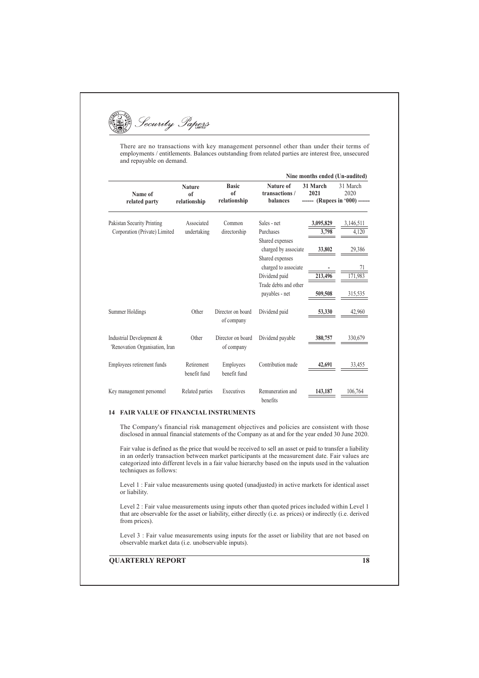

There are no transactions with key management personnel other than under their terms of employments / entitlements. Balances outstanding from related parties are interest free, unsecured and repayable on demand.

|                                                             |                                     |                                               |                                                                | Nine months ended (Un-audited)                     |                    |
|-------------------------------------------------------------|-------------------------------------|-----------------------------------------------|----------------------------------------------------------------|----------------------------------------------------|--------------------|
| Name of<br>related party                                    | <b>Nature</b><br>of<br>relationship | <b>Basic</b><br><sub>of</sub><br>relationship | Nature of<br>transactions /<br>balances                        | 31 March<br>2021<br>------ (Rupees in '000) ------ | 31 March<br>2020   |
| Pakistan Security Printing<br>Corporation (Private) Limited | Associated<br>undertaking           | Common<br>directorship                        | Sales - net<br>Purchases                                       | 3,095,829<br>3,798                                 | 3,146,511<br>4.120 |
|                                                             |                                     |                                               | Shared expenses<br>charged by associate<br>Shared expenses     | 33,802                                             | 29,386             |
|                                                             |                                     |                                               | charged to associate<br>Dividend paid<br>Trade debts and other | 213,496                                            | 171,983            |
|                                                             |                                     |                                               | payables - net                                                 | 509,508                                            | 315,535            |
| Summer Holdings                                             | Other                               | Director on board<br>of company               | Dividend paid                                                  | 53,330                                             | 42,960             |
| Industrial Development &<br>'Renovation Organisation, Iran  | Other                               | Director on board<br>of company               | Dividend payable                                               | 380,757                                            | 330,679            |
| Employees retirement funds                                  | Retirement<br>benefit fund          | Employees<br>benefit fund                     | Contribution made                                              | 42,691                                             | 33.455             |
| Key management personnel                                    | Related parties                     | Executives                                    | Remuneration and<br>benefits                                   | 143,187                                            | 106,764            |

## **14 FAIR VALUE OF FINANCIAL INSTRUMENTS**

The Company's financial risk management objectives and policies are consistent with those disclosed in annual financial statements of the Company as at and for the year ended 30 June 2020.

Fair value is defined as the price that would be received to sell an asset or paid to transfer a liability in an orderly transaction between market participants at the measurement date. Fair values are categorized into different levels in a fair value hierarchy based on the inputs used in the valuation techniques as follows:

Level 1 : Fair value measurements using quoted (unadjusted) in active markets for identical asset or liability.

Level 2 : Fair value measurements using inputs other than quoted prices included within Level 1 that are observable for the asset or liability, either directly (i.e. as prices) or indirectly (i.e. derived from prices).

Level 3 : Fair value measurements using inputs for the asset or liability that are not based on observable market data (i.e. unobservable inputs).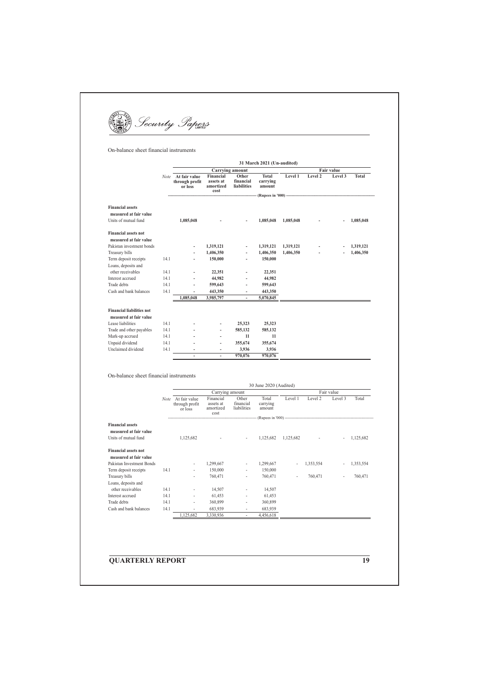(B) Security Papers

On-balance sheet financial instruments

|                                  |      | 31 March 2021 (Un-audited)                 |                                             |                                   |                             |           |            |         |              |  |
|----------------------------------|------|--------------------------------------------|---------------------------------------------|-----------------------------------|-----------------------------|-----------|------------|---------|--------------|--|
|                                  |      | <b>Carrying amount</b>                     |                                             |                                   |                             |           | Fair value |         |              |  |
|                                  | Note | At fair value<br>through profit<br>or loss | Financial<br>assets at<br>amortized<br>cost | Other<br>financial<br>liabilities | Total<br>carrying<br>amount | Level 1   | Level 2    | Level 3 | <b>Total</b> |  |
|                                  |      |                                            |                                             |                                   |                             |           |            |         |              |  |
| <b>Financial assets</b>          |      |                                            |                                             |                                   |                             |           |            |         |              |  |
| measured at fair value           |      |                                            |                                             |                                   |                             |           |            |         |              |  |
| Units of mutual fund             |      | 1,085,048                                  |                                             | $\frac{1}{2}$                     | 1,085,048                   | 1,085,048 |            |         | 1,085,048    |  |
| <b>Financial assets not</b>      |      |                                            |                                             |                                   |                             |           |            |         |              |  |
| measured at fair value           |      |                                            |                                             |                                   |                             |           |            |         |              |  |
| Pakistan investment bonds        |      | ٠                                          | 1,319,121                                   | $\overline{\phantom{a}}$          | 1,319,121                   | 1,319,121 | ٠          |         | 1,319,121    |  |
| Treasury bills                   |      |                                            | 1,406,350                                   | $\overline{\phantom{a}}$          | 1,406,350                   | 1,406,350 |            |         | 1,406,350    |  |
| Term deposit receipts            | 14.1 | $\overline{\phantom{a}}$                   | 150,000                                     | $\overline{\phantom{a}}$          | 150,000                     |           |            |         |              |  |
| Loans, deposits and              |      |                                            |                                             |                                   |                             |           |            |         |              |  |
| other receivables                | 14.1 | $\overline{\phantom{0}}$                   | 22,351                                      | $\overline{\phantom{a}}$          | 22,351                      |           |            |         |              |  |
| Interest accrued                 | 14.1 | $\overline{\phantom{a}}$                   | 44,982                                      | $\overline{\phantom{a}}$          | 44,982                      |           |            |         |              |  |
| Trade debts                      | 14.1 | $\overline{\phantom{a}}$                   | 599,643                                     | $\overline{\phantom{a}}$          | 599,643                     |           |            |         |              |  |
| Cash and bank balances           | 14.1 | ۰                                          | 443,350                                     | $\overline{\phantom{a}}$          | 443,350                     |           |            |         |              |  |
|                                  |      | 1.085.048                                  | 3,985,797                                   | $\overline{\phantom{a}}$          | 5,070,845                   |           |            |         |              |  |
| <b>Financial liabilities not</b> |      |                                            |                                             |                                   |                             |           |            |         |              |  |
| measured at fair value           |      |                                            |                                             |                                   |                             |           |            |         |              |  |
| Lease liabilities                | 14.1 |                                            | $\overline{\phantom{0}}$                    | 25,323                            | 25,323                      |           |            |         |              |  |
| Trade and other payables         | 14.1 |                                            | ٠                                           | 585,132                           | 585,132                     |           |            |         |              |  |
| Mark-up accrued                  | 14.1 | $\overline{\phantom{a}}$                   | $\overline{a}$                              | 11                                | 11                          |           |            |         |              |  |
| Unpaid dividend                  | 14.1 | $\overline{a}$                             | $\overline{\phantom{m}}$                    | 355,674                           | 355,674                     |           |            |         |              |  |
| Unclaimed dividend               | 14.1 | ٠                                          | ٠                                           | 3,936                             | 3,936                       |           |            |         |              |  |
|                                  |      | $\overline{\phantom{a}}$                   | ٠                                           | 970,076                           | 970,076                     |           |            |         |              |  |

On-balance sheet financial instruments

|                                                       |       | 30 June 2020 (Audited)                     |                                             |                                   |                             |            |           |                          |           |
|-------------------------------------------------------|-------|--------------------------------------------|---------------------------------------------|-----------------------------------|-----------------------------|------------|-----------|--------------------------|-----------|
|                                                       |       | Carrying amount                            |                                             |                                   |                             | Fair value |           |                          |           |
|                                                       | Note. | At fair value<br>through profit<br>or loss | Financial<br>assets at<br>amortized<br>cost | Other<br>financial<br>liabilities | Total<br>carrying<br>amount | Level 1    | Level 2   | Level 3                  | Total     |
|                                                       |       |                                            |                                             |                                   |                             |            |           |                          |           |
| <b>Financial assets</b><br>measured at fair value     |       |                                            |                                             |                                   |                             |            |           |                          |           |
| Units of mutual fund                                  |       | 1,125,682                                  |                                             | $\overline{\phantom{a}}$          | 1,125,682                   | 1,125,682  |           |                          | 1,125,682 |
| <b>Financial assets not</b><br>measured at fair value |       |                                            |                                             |                                   |                             |            |           |                          |           |
| Pakistan Investment Bonds                             |       | $\overline{\phantom{a}}$                   | 1,299,667                                   | ٠                                 | 1,299,667                   | ٠          | 1,353,554 |                          | 1,353,554 |
| Term deposit receipts                                 | 14.1  | ä,                                         | 150,000                                     | ٠                                 | 150,000                     |            |           |                          |           |
| Treasury bills                                        |       | ۰                                          | 760,471                                     | ۰                                 | 760,471                     | ٠          | 760,471   | $\overline{\phantom{a}}$ | 760,471   |
| Loans, deposits and                                   |       |                                            |                                             |                                   |                             |            |           |                          |           |
| other receivables                                     | 14.1  | ٠                                          | 14,507                                      | ٠                                 | 14,507                      |            |           |                          |           |
| Interest accrued                                      | 14.1  | ٠                                          | 61,453                                      | ٠.                                | 61,453                      |            |           |                          |           |
| Trade debts                                           | 14.1  | ٠                                          | 360,899                                     | ٠.                                | 360,899                     |            |           |                          |           |
| Cash and bank balances                                | 14.1  | ٠                                          | 683,939                                     | ٠.                                | 683,939                     |            |           |                          |           |
|                                                       |       | 1,125,682                                  | 3,330,936                                   | ٠                                 | 4,456,618                   |            |           |                          |           |

**QUARTERLY REPORT** 

 $\overline{19}$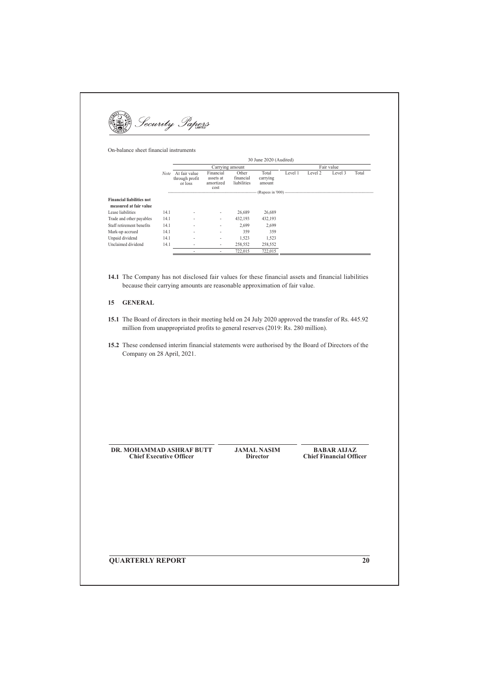

On-balance sheet financial instruments

|                                  | 30 June 2020 (Audited) |                                            |                                             |                                   |                             |            |         |         |       |
|----------------------------------|------------------------|--------------------------------------------|---------------------------------------------|-----------------------------------|-----------------------------|------------|---------|---------|-------|
|                                  |                        |                                            | Carrying amount                             |                                   |                             | Fair value |         |         |       |
|                                  | Note                   | At fair value<br>through profit<br>or loss | Financial<br>assets at<br>amortized<br>cost | Other<br>financial<br>liabilities | Total<br>carrying<br>amount | Level 1    | Level 2 | Level 3 | Total |
|                                  |                        |                                            |                                             |                                   |                             |            |         |         |       |
| <b>Financial liabilities not</b> |                        |                                            |                                             |                                   |                             |            |         |         |       |
| measured at fair value           |                        |                                            |                                             |                                   |                             |            |         |         |       |
| Lease liabilities                | 14.1                   |                                            | $\overline{\phantom{a}}$                    | 26,689                            | 26,689                      |            |         |         |       |
| Trade and other payables         | 14.1                   |                                            | $\overline{\phantom{a}}$                    | 432.193                           | 432,193                     |            |         |         |       |
| Staff retirement benefits        | 14.1                   | ٠                                          | ٠                                           | 2.699                             | 2,699                       |            |         |         |       |
| Mark-up accrued                  | 14.1                   | $\overline{\phantom{0}}$                   | ٠                                           | 359                               | 359                         |            |         |         |       |
| Unpaid dividend                  | 14.1                   | $\overline{\phantom{a}}$                   | $\overline{\phantom{0}}$                    | 1,523                             | 1,523                       |            |         |         |       |
| Unclaimed dividend               | 14.1                   |                                            | $\overline{\phantom{a}}$                    | 258,552                           | 258,552                     |            |         |         |       |
|                                  |                        |                                            | $\overline{\phantom{0}}$                    | 722.015                           | 722.015                     |            |         |         |       |

14.1 The Company has not disclosed fair values for these financial assets and financial liabilities because their carrying amounts are reasonable approximation of fair value.

## 15 GENERAL

- 15.1 The Board of directors in their meeting held on 24 July 2020 approved the transfer of Rs. 445.92 million from unappropriated profits to general reserves (2019: Rs. 280 million).
- 15.2 These condensed interim financial statements were authorised by the Board of Directors of the Company on 28 April, 2021.

DR. MOHAMMAD ASHRAF BUTT **Chief Executive Officer** 

**JAMAL NASIM Director** 

**BABAR AIJAZ Chief Financial Officer** 

**QUARTERLY REPORT** 

 $\overline{20}$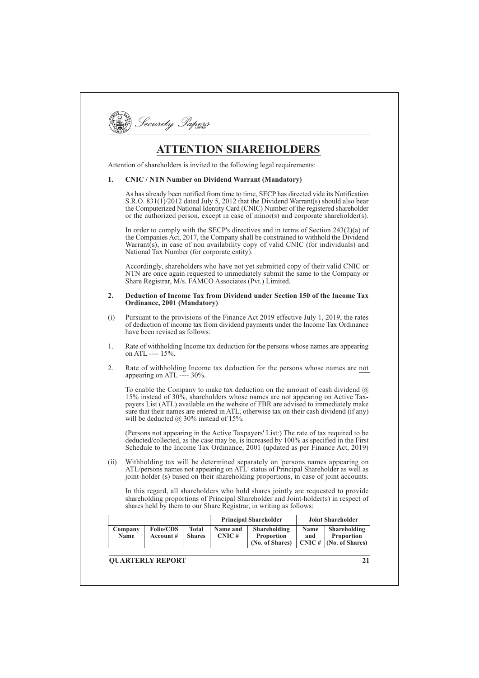|  |  | ecurity | ens |
|--|--|---------|-----|
|--|--|---------|-----|

# **ATTENTION SHAREHOLDERS**

Attention of shareholders is invited to the following legal requirements:

#### **CNIC / NTN Number on Dividend Warrant (Mandatory)**  $\mathbf{1}$

As has already been notified from time to time, SECP has directed vide its Notification S.R.O. 831(1)/2012 dated July 5, 2012 that the Dividend Warrant(s) should also bear the Computerized National Identity Card (CNIC) Number of the registered shareholder or the authorized person, except in case of minor(s) and corporate shareholder(s).

In order to comply with the SECP's directives and in terms of Section  $243(2)(a)$  of the Companies Act, 2017, the Company shall be constrained to withhold the Dividend Warrant(s), in case of non availability copy of valid CNIC (for individuals) and National Tax Number (for corporate entity).

Accordingly, shareholders who have not yet submitted copy of their valid CNIC or NTN are once again requested to immediately submit the same to the Company or Share Registrar, M/s. FAMCO Associates (Pvt.) Limited.

#### $\mathcal{L}$ Deduction of Income Tax from Dividend under Section 150 of the Income Tax Ordinance, 2001 (Mandatory)

- Pursuant to the provisions of the Finance Act 2019 effective July 1, 2019, the rates  $(i)$ of deduction of income tax from dividend payments under the Income Tax Ordinance have been revised as follows:
- $1<sub>1</sub>$ Rate of withholding Income tax deduction for the persons whose names are appearing on ATL ---- 15%.
- $\mathcal{D}$ Rate of withholding Income tax deduction for the persons whose names are not appearing on ATL ----  $30\%$ .

To enable the Company to make tax deduction on the amount of cash dividend  $(a)$ 15% instead of 30%, shareholders whose names are not appearing on Active Taxpayers List (ATL) available on the website of FBR are advised to immediately make sure that their names are entered in ATL, otherwise tax on their cash dividend (if any) will be deducted  $@30\%$  instead of 15%.

(Persons not appearing in the Active Taxpayers' List:) The rate of tax required to be deducted/collected, as the case may be, is increased by 100% as specified in the First Schedule to the Income Tax Ordinance, 2001 (updated as per Finance Act, 2019)

Withholding tax will be determined separately on 'persons names appearing on ATL' persons names not appearing on ATL' status of Principal Shareholder as well as  $(ii)$ joint-holder (s) based on their shareholding proportions, in case of joint accounts.

In this regard, all shareholders who hold shares jointly are requested to provide shareholding proportions of Principal Shareholder and Joint-holder(s) in respect of shares held by them to our Share Registrar, in writing as follows:

|                 |                               |                               |                   | <b>Principal Shareholder</b>                         |             | <b>Joint Shareholder</b>                                         |
|-----------------|-------------------------------|-------------------------------|-------------------|------------------------------------------------------|-------------|------------------------------------------------------------------|
| Company<br>Name | <b>Folio/CDS</b><br>Account # | <b>Total</b><br><b>Shares</b> | Name and<br>CNIC# | Shareholding<br><b>Proportion</b><br>(No. of Shares) | Name<br>and | Shareholding<br><b>Proportion</b><br>$CNIC \#   (No. of Shares)$ |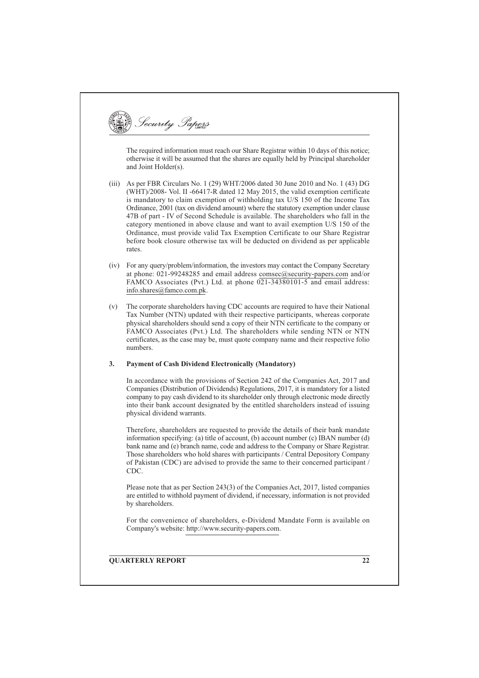Security Papers The required information must reach our Share Registrar within 10 days of this notice; otherwise it will be assumed that the shares are equally held by Principal shareholder and Joint Holder(s). (iii) As per FBR Circulars No. 1 (29) WHT/2006 dated 30 June 2010 and No. 1 (43) DG (WHT)/2008- Vol. II -66417-R dated 12 May 2015, the valid exemption certificate is mandatory to claim exemption of withholding tax U/S 150 of the Income Tax Ordinance, 2001 (tax on dividend amount) where the statutory exemption under clause 47B of part - IV of Second Schedule is available. The shareholders who fall in the category mentioned in above clause and want to avail exemption U/S 150 of the Ordinance, must provide valid Tax Exemption Certificate to our Share Registrar before book closure otherwise tax will be deducted on dividend as per applicable rates. (iv) For any query/problem/information, the investors may contact the Company Secretary at phone: 021-99248285 and email address comsec@security-papers.com and/or FAMCO Associates (Pvt.) Ltd. at phone 021-34380101-5 and email address: info.shares@famco.com.pk.  $(v)$ The corporate shareholders having CDC accounts are required to have their National Tax Number (NTN) updated with their respective participants, whereas corporate physical shareholders should send a copy of their NTN certificate to the company or FAMCO Associates (Pvt.) Ltd. The shareholders while sending NTN or NTN certificates, as the case may be, must quote company name and their respective folio numbers.  $3.$ **Payment of Cash Dividend Electronically (Mandatory)** In accordance with the provisions of Section 242 of the Companies Act, 2017 and Companies (Distribution of Dividends) Regulations, 2017, it is mandatory for a listed company to pay cash dividend to its shareholder only through electronic mode directly into their bank account designated by the entitled shareholders instead of issuing physical dividend warrants. Therefore, shareholders are requested to provide the details of their bank mandate information specifying: (a) title of account, (b) account number (c) IBAN number (d) bank name and (e) branch name, code and address to the Company or Share Registrar. Those shareholders who hold shares with participants / Central Depository Company of Pakistan (CDC) are advised to provide the same to their concerned participant /  $CDC$ Please note that as per Section 243(3) of the Companies Act, 2017, listed companies are entitled to withhold payment of dividend, if necessary, information is not provided by shareholders. For the convenience of shareholders, e-Dividend Mandate Form is available on Company's website: http://www.security-papers.com. **OUARTERLY REPORT**  $\overline{22}$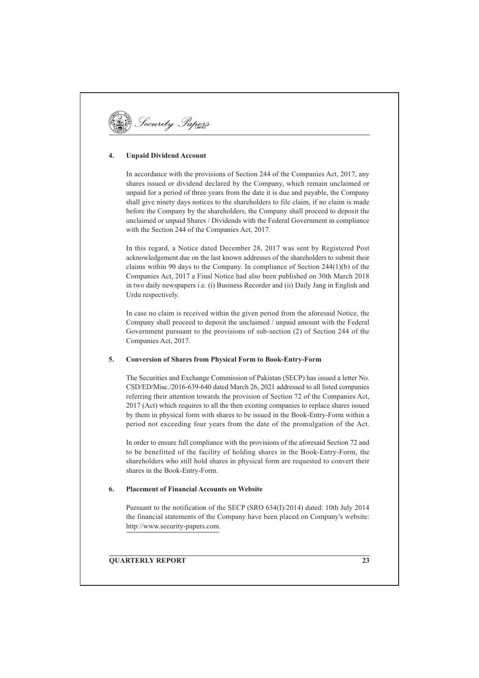

#### **Unpaid Dividend Account**  $\overline{4}$ .

In accordance with the provisions of Section 244 of the Companies Act. 2017, any shares issued or dividend declared by the Company, which remain unclaimed or unpaid for a period of three years from the date it is due and payable, the Company shall give ninety days notices to the shareholders to file claim, if no claim is made before the Company by the shareholders, the Company shall proceed to deposit the unclaimed or unpaid Shares / Dividends with the Federal Government in compliance with the Section 244 of the Companies Act, 2017.

In this regard, a Notice dated December 28, 2017 was sent by Registered Post acknowledgement due on the last known addresses of the shareholders to submit their claims within 90 days to the Company. In compliance of Section  $244(1)(b)$  of the Companies Act, 2017 a Final Notice had also been published on 30th March 2018 in two daily newspapers i.e. (i) Business Recorder and (ii) Daily Jang in English and Urdu respectively.

In case no claim is received within the given period from the aforesaid Notice, the Company shall proceed to deposit the unclaimed / unpaid amount with the Federal Government pursuant to the provisions of sub-section (2) of Section 244 of the Companies Act, 2017.

#### **Conversion of Shares from Physical Form to Book-Entry-Form**  $\leq$

The Securities and Exchange Commission of Pakistan (SECP) has issued a letter No. CSD/ED/Misc./2016-639-640 dated March 26, 2021 addressed to all listed companies referring their attention towards the provision of Section 72 of the Companies Act, 2017 (Act) which requires to all the then existing companies to replace shares issued by them in physical form with shares to be issued in the Book-Entry-Form within a period not exceeding four years from the date of the promulgation of the Act.

In order to ensure full compliance with the provisions of the aforesaid Section 72 and to be benefitted of the facility of holding shares in the Book-Entry-Form, the shareholders who still hold shares in physical form are requested to convert their shares in the Book-Entry-Form.

#### 6. **Placement of Financial Accounts on Website**

Pursuant to the notification of the SECP (SRO 634(I)/2014) dated: 10th July 2014 the financial statements of the Company have been placed on Company's website: http://www.security-papers.com.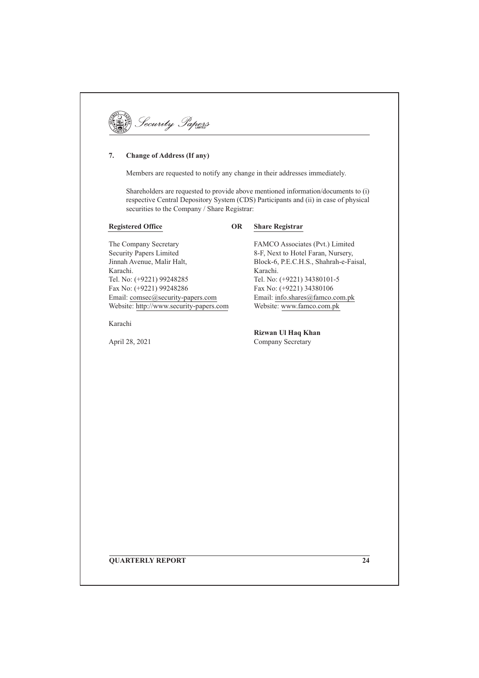| anun<br>TED |  |
|-------------|--|
|-------------|--|

#### **Change of Address (If any)** 7.

Members are requested to notify any change in their addresses immediately.

Shareholders are requested to provide above mentioned information/documents to (i) respective Central Depository System (CDS) Participants and (ii) in case of physical securities to the Company / Share Registrar:

## **Registered Office**

#### **OR Share Registrar**

The Company Secretary **Security Papers Limited** Jinnah Avenue, Malir Halt, Karachi. Tel. No: (+9221) 99248285 Fax No: (+9221) 99248286 Email: comsec@security-papers.com Website: http://www.security-papers.com

Karachi

April 28, 2021

FAMCO Associates (Pvt.) Limited 8-F, Next to Hotel Faran, Nursery, Block-6, P.E.C.H.S., Shahrah-e-Faisal, Karachi. Tel. No: (+9221) 34380101-5 Fax No: (+9221) 34380106 Email: info.shares@famco.com.pk Website: www.famco.com.pk

Rizwan Ul Haq Khan Company Secretary